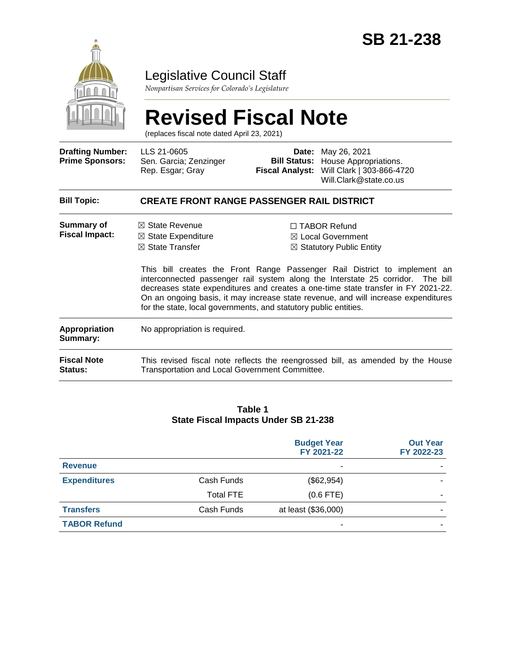

### Legislative Council Staff

*Nonpartisan Services for Colorado's Legislature*

# **Revised Fiscal Note**

(replaces fiscal note dated April 23, 2021)

| <b>Drafting Number:</b><br><b>Prime Sponsors:</b> | LLS 21-0605<br>Sen. Garcia; Zenzinger<br>Rep. Esgar; Gray                                                                                                    | <b>Bill Status:</b> | <b>Date:</b> May 26, 2021<br>House Appropriations.<br>Fiscal Analyst: Will Clark   303-866-4720<br>Will.Clark@state.co.us                                                                                                                                                                                                                                                                                                             |  |  |
|---------------------------------------------------|--------------------------------------------------------------------------------------------------------------------------------------------------------------|---------------------|---------------------------------------------------------------------------------------------------------------------------------------------------------------------------------------------------------------------------------------------------------------------------------------------------------------------------------------------------------------------------------------------------------------------------------------|--|--|
| <b>Bill Topic:</b>                                | <b>CREATE FRONT RANGE PASSENGER RAIL DISTRICT</b>                                                                                                            |                     |                                                                                                                                                                                                                                                                                                                                                                                                                                       |  |  |
| Summary of<br><b>Fiscal Impact:</b>               | $\boxtimes$ State Revenue<br>$\boxtimes$ State Expenditure<br>$\boxtimes$ State Transfer<br>for the state, local governments, and statutory public entities. |                     | $\Box$ TABOR Refund<br>$\boxtimes$ Local Government<br>$\boxtimes$ Statutory Public Entity<br>This bill creates the Front Range Passenger Rail District to implement an<br>interconnected passenger rail system along the Interstate 25 corridor. The bill<br>decreases state expenditures and creates a one-time state transfer in FY 2021-22.<br>On an ongoing basis, it may increase state revenue, and will increase expenditures |  |  |
| <b>Appropriation</b><br>Summary:                  | No appropriation is required.                                                                                                                                |                     |                                                                                                                                                                                                                                                                                                                                                                                                                                       |  |  |
| <b>Fiscal Note</b><br><b>Status:</b>              | This revised fiscal note reflects the reengrossed bill, as amended by the House<br>Transportation and Local Government Committee.                            |                     |                                                                                                                                                                                                                                                                                                                                                                                                                                       |  |  |

#### **Table 1 State Fiscal Impacts Under SB 21-238**

|                     |                  | <b>Budget Year</b><br>FY 2021-22 | <b>Out Year</b><br>FY 2022-23 |
|---------------------|------------------|----------------------------------|-------------------------------|
| <b>Revenue</b>      |                  | ۰                                |                               |
| <b>Expenditures</b> | Cash Funds       | (\$62,954)                       |                               |
|                     | <b>Total FTE</b> | $(0.6$ FTE)                      |                               |
| <b>Transfers</b>    | Cash Funds       | at least (\$36,000)              |                               |
| <b>TABOR Refund</b> |                  | ۰                                |                               |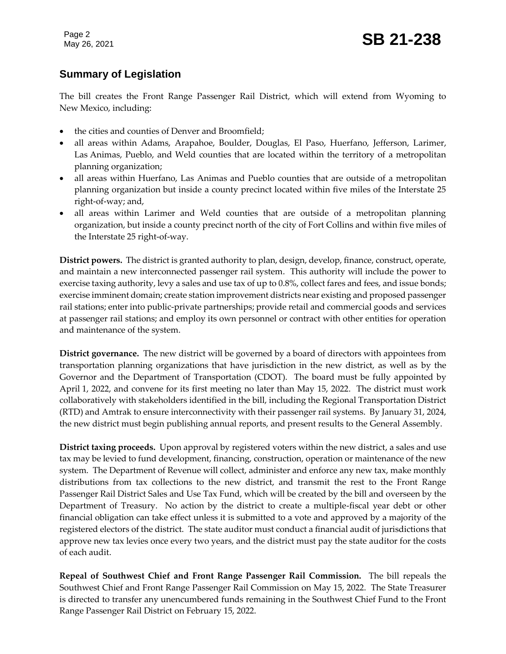#### **Summary of Legislation**

The bill creates the Front Range Passenger Rail District, which will extend from Wyoming to New Mexico, including:

- the cities and counties of Denver and Broomfield;
- all areas within Adams, Arapahoe, Boulder, Douglas, El Paso, Huerfano, Jefferson, Larimer, Las Animas, Pueblo, and Weld counties that are located within the territory of a metropolitan planning organization;
- all areas within Huerfano, Las Animas and Pueblo counties that are outside of a metropolitan planning organization but inside a county precinct located within five miles of the Interstate 25 right-of-way; and,
- all areas within Larimer and Weld counties that are outside of a metropolitan planning organization, but inside a county precinct north of the city of Fort Collins and within five miles of the Interstate 25 right-of-way.

**District powers.** The district is granted authority to plan, design, develop, finance, construct, operate, and maintain a new interconnected passenger rail system. This authority will include the power to exercise taxing authority, levy a sales and use tax of up to 0.8%, collect fares and fees, and issue bonds; exercise imminent domain; create station improvement districts near existing and proposed passenger rail stations; enter into public-private partnerships; provide retail and commercial goods and services at passenger rail stations; and employ its own personnel or contract with other entities for operation and maintenance of the system.

**District governance.** The new district will be governed by a board of directors with appointees from transportation planning organizations that have jurisdiction in the new district, as well as by the Governor and the Department of Transportation (CDOT). The board must be fully appointed by April 1, 2022, and convene for its first meeting no later than May 15, 2022. The district must work collaboratively with stakeholders identified in the bill, including the Regional Transportation District (RTD) and Amtrak to ensure interconnectivity with their passenger rail systems. By January 31, 2024, the new district must begin publishing annual reports, and present results to the General Assembly.

**District taxing proceeds.** Upon approval by registered voters within the new district, a sales and use tax may be levied to fund development, financing, construction, operation or maintenance of the new system. The Department of Revenue will collect, administer and enforce any new tax, make monthly distributions from tax collections to the new district, and transmit the rest to the Front Range Passenger Rail District Sales and Use Tax Fund, which will be created by the bill and overseen by the Department of Treasury. No action by the district to create a multiple-fiscal year debt or other financial obligation can take effect unless it is submitted to a vote and approved by a majority of the registered electors of the district. The state auditor must conduct a financial audit of jurisdictions that approve new tax levies once every two years, and the district must pay the state auditor for the costs of each audit.

**Repeal of Southwest Chief and Front Range Passenger Rail Commission.** The bill repeals the Southwest Chief and Front Range Passenger Rail Commission on May 15, 2022. The State Treasurer is directed to transfer any unencumbered funds remaining in the Southwest Chief Fund to the Front Range Passenger Rail District on February 15, 2022.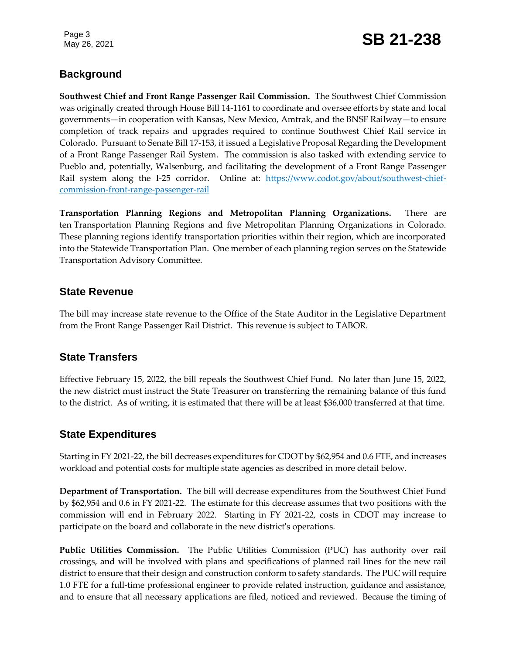## May 26, 2021 **SB 21-238**

#### **Background**

**Southwest Chief and Front Range Passenger Rail Commission.** The Southwest Chief Commission was originally created through House Bill 14-1161 to coordinate and oversee efforts by state and local governments—in cooperation with Kansas, New Mexico, Amtrak, and the BNSF Railway—to ensure completion of track repairs and upgrades required to continue Southwest Chief Rail service in Colorado. Pursuant to Senate Bill 17-153, it issued a Legislative Proposal Regarding the Development of a Front Range Passenger Rail System. The commission is also tasked with extending service to Pueblo and, potentially, Walsenburg, and facilitating the development of a Front Range Passenger Rail system along the I-25 corridor. Online at: [https://www.codot.gov/about/southwest-chief](https://www.codot.gov/about/southwest-chief-commission-front-range-passenger-rail)[commission-front-range-passenger-rail](https://www.codot.gov/about/southwest-chief-commission-front-range-passenger-rail)

**Transportation Planning Regions and Metropolitan Planning Organizations.** There are ten Transportation Planning Regions and five Metropolitan Planning Organizations in Colorado. These planning regions identify transportation priorities within their region, which are incorporated into the Statewide Transportation Plan. One member of each planning region serves on the Statewide Transportation Advisory Committee.

#### **State Revenue**

The bill may increase state revenue to the Office of the State Auditor in the Legislative Department from the Front Range Passenger Rail District. This revenue is subject to TABOR.

#### **State Transfers**

Effective February 15, 2022, the bill repeals the Southwest Chief Fund. No later than June 15, 2022, the new district must instruct the State Treasurer on transferring the remaining balance of this fund to the district. As of writing, it is estimated that there will be at least \$36,000 transferred at that time.

#### **State Expenditures**

Starting in FY 2021-22, the bill decreases expenditures for CDOT by \$62,954 and 0.6 FTE, and increases workload and potential costs for multiple state agencies as described in more detail below.

**Department of Transportation.** The bill will decrease expenditures from the Southwest Chief Fund by \$62,954 and 0.6 in FY 2021-22. The estimate for this decrease assumes that two positions with the commission will end in February 2022. Starting in FY 2021-22, costs in CDOT may increase to participate on the board and collaborate in the new district's operations.

**Public Utilities Commission.** The Public Utilities Commission (PUC) has authority over rail crossings, and will be involved with plans and specifications of planned rail lines for the new rail district to ensure that their design and construction conform to safety standards. The PUC will require 1.0 FTE for a full-time professional engineer to provide related instruction, guidance and assistance, and to ensure that all necessary applications are filed, noticed and reviewed. Because the timing of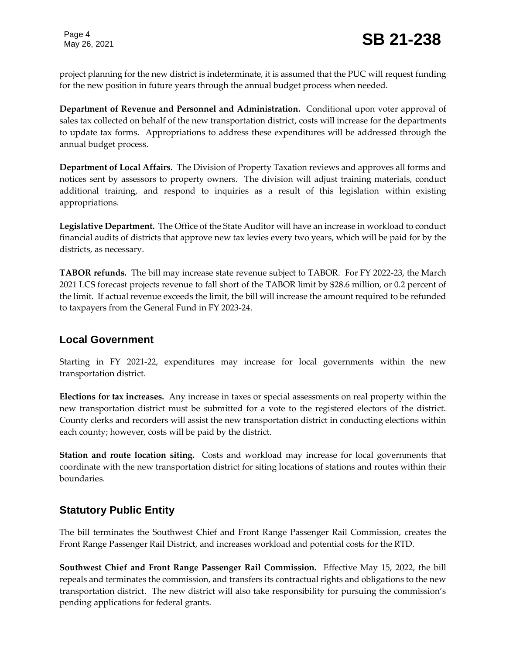project planning for the new district is indeterminate, it is assumed that the PUC will request funding for the new position in future years through the annual budget process when needed.

**Department of Revenue and Personnel and Administration.** Conditional upon voter approval of sales tax collected on behalf of the new transportation district, costs will increase for the departments to update tax forms. Appropriations to address these expenditures will be addressed through the annual budget process.

**Department of Local Affairs.** The Division of Property Taxation reviews and approves all forms and notices sent by assessors to property owners. The division will adjust training materials, conduct additional training, and respond to inquiries as a result of this legislation within existing appropriations.

**Legislative Department.** The Office of the State Auditor will have an increase in workload to conduct financial audits of districts that approve new tax levies every two years, which will be paid for by the districts, as necessary.

**TABOR refunds.** The bill may increase state revenue subject to TABOR. For FY 2022-23, the March 2021 LCS forecast projects revenue to fall short of the TABOR limit by \$28.6 million, or 0.2 percent of the limit. If actual revenue exceeds the limit, the bill will increase the amount required to be refunded to taxpayers from the General Fund in FY 2023-24.

#### **Local Government**

Starting in FY 2021-22, expenditures may increase for local governments within the new transportation district.

**Elections for tax increases.** Any increase in taxes or special assessments on real property within the new transportation district must be submitted for a vote to the registered electors of the district. County clerks and recorders will assist the new transportation district in conducting elections within each county; however, costs will be paid by the district.

**Station and route location siting.** Costs and workload may increase for local governments that coordinate with the new transportation district for siting locations of stations and routes within their boundaries.

#### **Statutory Public Entity**

The bill terminates the Southwest Chief and Front Range Passenger Rail Commission, creates the Front Range Passenger Rail District, and increases workload and potential costs for the RTD.

**Southwest Chief and Front Range Passenger Rail Commission.** Effective May 15, 2022, the bill repeals and terminates the commission, and transfers its contractual rights and obligations to the new transportation district. The new district will also take responsibility for pursuing the commission's pending applications for federal grants.